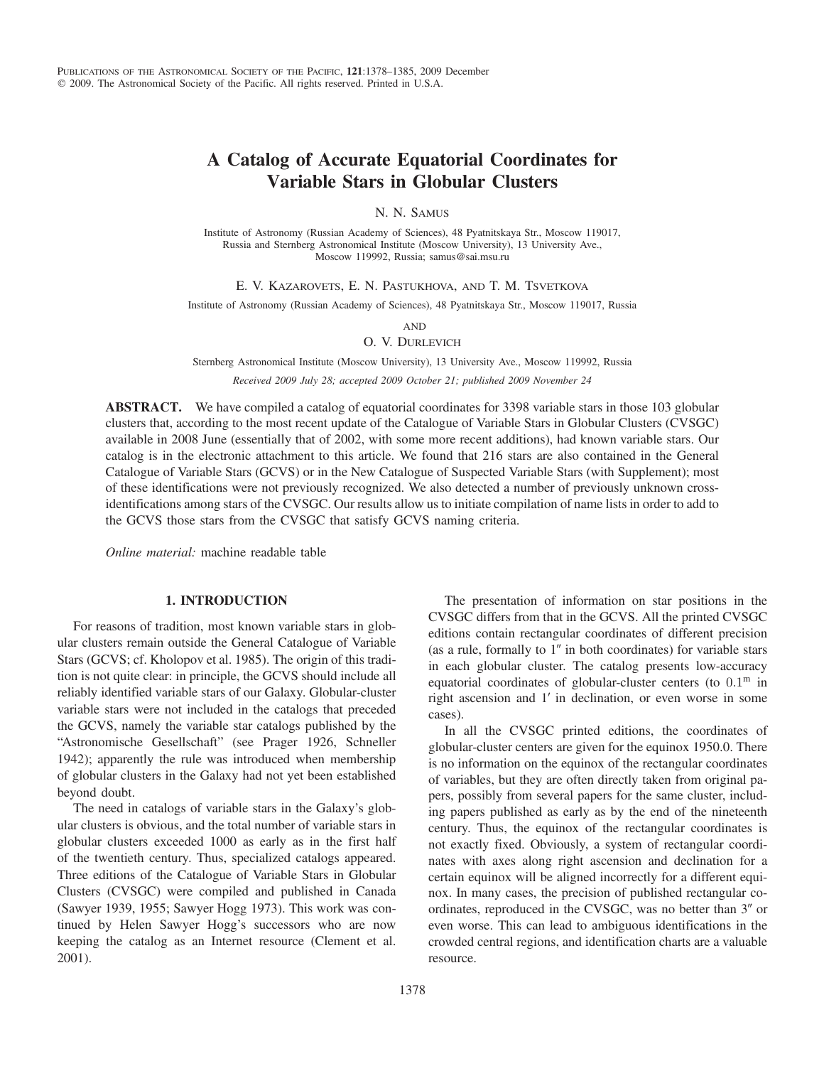# A Catalog of Accurate Equatorial Coordinates for Variable Stars in Globular Clusters

N. N. SAMUS

Institute of Astronomy (Russian Academy of Sciences), 48 Pyatnitskaya Str., Moscow 119017, Russia and Sternberg Astronomical Institute (Moscow University), 13 University Ave., Moscow 119992, Russia; samus@sai.msu.ru

E. V. KAZAROVETS, E. N. PASTUKHOVA, AND T. M. TSVETKOVA

Institute of Astronomy (Russian Academy of Sciences), 48 Pyatnitskaya Str., Moscow 119017, Russia

AND

O. V. DURLEVICH

Sternberg Astronomical Institute (Moscow University), 13 University Ave., Moscow 119992, Russia Received 2009 July 28; accepted 2009 October 21; published 2009 November 24

ABSTRACT. We have compiled a catalog of equatorial coordinates for 3398 variable stars in those 103 globular clusters that, according to the most recent update of the Catalogue of Variable Stars in Globular Clusters (CVSGC) available in 2008 June (essentially that of 2002, with some more recent additions), had known variable stars. Our catalog is in the electronic attachment to this article. We found that 216 stars are also contained in the General Catalogue of Variable Stars (GCVS) or in the New Catalogue of Suspected Variable Stars (with Supplement); most of these identifications were not previously recognized. We also detected a number of previously unknown crossidentifications among stars of the CVSGC. Our results allow us to initiate compilation of name lists in order to add to the GCVS those stars from the CVSGC that satisfy GCVS naming criteria.

Online material: machine readable table

## 1. INTRODUCTION

For reasons of tradition, most known variable stars in globular clusters remain outside the General Catalogue of Variable Stars (GCVS; cf. Kholopov et al. 1985). The origin of this tradition is not quite clear: in principle, the GCVS should include all reliably identified variable stars of our Galaxy. Globular-cluster variable stars were not included in the catalogs that preceded the GCVS, namely the variable star catalogs published by the "Astronomische Gesellschaft" (see Prager 1926, Schneller 1942); apparently the rule was introduced when membership of globular clusters in the Galaxy had not yet been established beyond doubt.

The need in catalogs of variable stars in the Galaxy's globular clusters is obvious, and the total number of variable stars in globular clusters exceeded 1000 as early as in the first half of the twentieth century. Thus, specialized catalogs appeared. Three editions of the Catalogue of Variable Stars in Globular Clusters (CVSGC) were compiled and published in Canada (Sawyer 1939, 1955; Sawyer Hogg 1973). This work was continued by Helen Sawyer Hogg's successors who are now keeping the catalog as an Internet resource (Clement et al. 2001).

The presentation of information on star positions in the CVSGC differs from that in the GCVS. All the printed CVSGC editions contain rectangular coordinates of different precision (as a rule, formally to 1″ in both coordinates) for variable stars in each globular cluster. The catalog presents low-accuracy equatorial coordinates of globular-cluster centers (to  $0.1<sup>m</sup>$  in right ascension and 1′ in declination, or even worse in some cases).

In all the CVSGC printed editions, the coordinates of globular-cluster centers are given for the equinox 1950.0. There is no information on the equinox of the rectangular coordinates of variables, but they are often directly taken from original papers, possibly from several papers for the same cluster, including papers published as early as by the end of the nineteenth century. Thus, the equinox of the rectangular coordinates is not exactly fixed. Obviously, a system of rectangular coordinates with axes along right ascension and declination for a certain equinox will be aligned incorrectly for a different equinox. In many cases, the precision of published rectangular coordinates, reproduced in the CVSGC, was no better than 3″ or even worse. This can lead to ambiguous identifications in the crowded central regions, and identification charts are a valuable resource.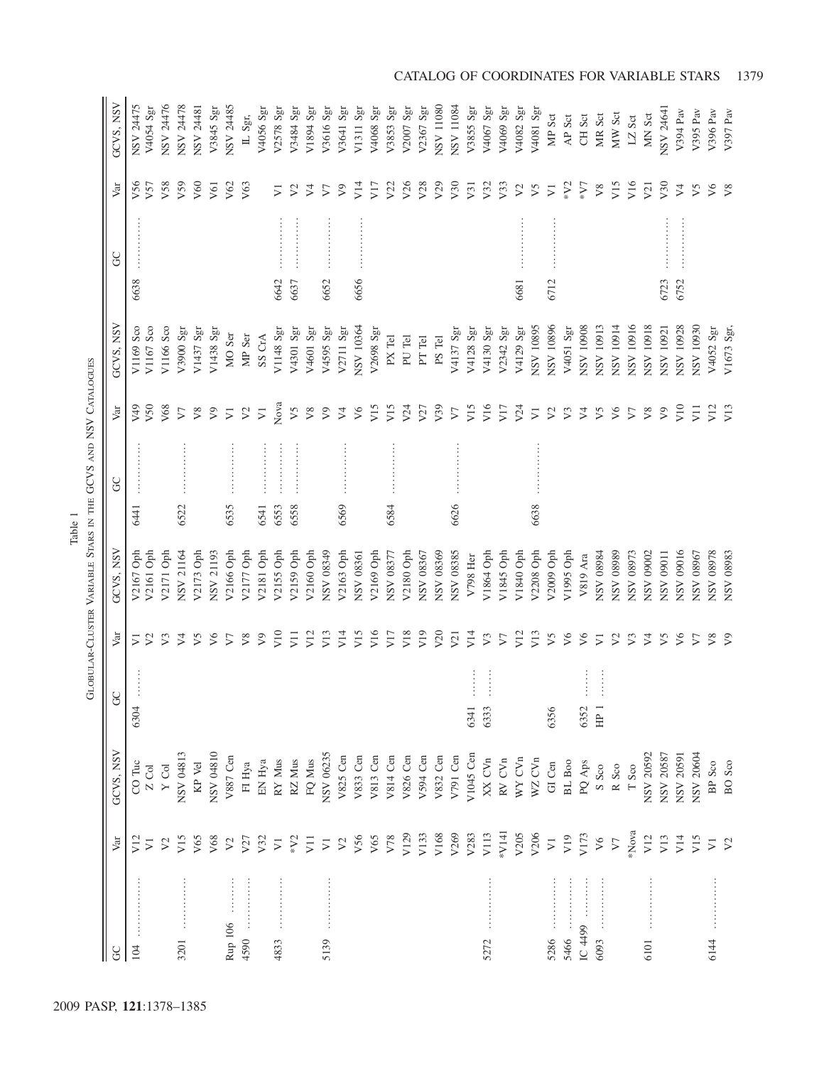|                                                                                                                                                                   |                             |                   |           |                             | GLOBULAR-CLUSTER VARIABLE STARS IN THE GCVS AND NSV CATALOGUES |      |           |                             |            |      |                             |                             |
|-------------------------------------------------------------------------------------------------------------------------------------------------------------------|-----------------------------|-------------------|-----------|-----------------------------|----------------------------------------------------------------|------|-----------|-----------------------------|------------|------|-----------------------------|-----------------------------|
| g                                                                                                                                                                 | Var                         | GCVS, NSV         | $\rm G$   | Var                         | GCVS, NSV                                                      |      | <b>GC</b> | Var                         | GCVS, NSV  | GC   | Var                         | GCVS, NSV                   |
| 104                                                                                                                                                               | V12                         | CO Tuc            | 6304      | $\overline{V}$              | V2167 Oph                                                      | 6441 |           | 65 <sub>N</sub>             | V1169 Sco  | 6638 | V56                         | NSV 24475                   |
|                                                                                                                                                                   | $\overline{V}$              | Z Col             |           | $\mathcal{V}^2$             | V2161 Oph                                                      |      |           | V <sub>50</sub>             | V1167 Sco  |      | V <sub>57</sub>             | V4054 Sgr                   |
|                                                                                                                                                                   | $\mathcal{V}^2$             | $\mathbf Y$ Col   |           | V <sub>3</sub>              | V2171 Oph                                                      |      |           | V68                         | V1166 Sco  |      | V58                         | NSV 24476                   |
| 3201                                                                                                                                                              | V15                         | NSV 04813         |           | $\triangleright$            | NSV 21164                                                      | 6522 |           | $\boldsymbol{\nabla}$       | V3900 Sgr  |      | V59                         | NSV 24478                   |
|                                                                                                                                                                   | V65                         | KP Vel            |           | V5                          | V2173 Oph                                                      |      |           | $\sqrt{8}$                  | V1437 Sgr  |      | V60                         | NSV 24481                   |
|                                                                                                                                                                   | V68                         | NSV 04810         |           | $\sqrt{6}$                  | NSV 21193                                                      |      |           | $\sqrt{9}$                  | V1438 Sgr  |      | V61                         | V3845 Sgr                   |
| $\begin{array}{c} \bullet & \bullet & \bullet & \bullet \\ \bullet & \bullet & \bullet & \bullet \\ \bullet & \bullet & \bullet & \bullet \end{array}$<br>Rup 106 | $\mathcal{V}^2$             | V887 Cen          |           | $\triangledown$             | V2166 Oph                                                      | 6535 |           | $\overline{\triangleright}$ | MO Ser     |      | V62                         | NSV 24485                   |
| 4590                                                                                                                                                              | V27                         | $\rm{FI}$ Hya     |           | $\sqrt{8}$                  | V2177 Oph                                                      |      |           | $\mathcal{V}^2$             | MP Ser     |      | V63                         | IL Sgr,                     |
|                                                                                                                                                                   | V <sub>32</sub>             | EN Hya            |           | $\sqrt{9}$                  | V2181 Oph                                                      | 6541 |           | $\overline{\triangleright}$ | SS CrA     |      |                             | V4056 Sgr                   |
| 4833                                                                                                                                                              | $\sum$                      | RY Mus            |           | V10                         | V2155 Oph                                                      | 6553 |           | Nova                        | V1148 Sgr  | 6642 | $\sum$                      | V2578 Sgr                   |
|                                                                                                                                                                   | $*V2$                       | RZ Mus            |           | $\overline{V}$              | V2159 Oph                                                      | 6558 |           | V5                          | V4301 Sgr  | 6637 | $\triangleright$            | V3484 Sgr                   |
|                                                                                                                                                                   | V11                         | FQ Mus            |           | V12                         | V2160 Oph                                                      |      |           | $\sqrt{8}$                  | V4601 Sgr  |      | $\triangleright$            | V1894 Sgr                   |
| <b><i><u><u><u>.</u></u></u></i></b><br>5139                                                                                                                      | $\overline{\triangleright}$ | NSV 06235         |           | V13                         | NSV 08349                                                      |      |           | $\sqrt{9}$                  | V4595 Sgr  | 6652 | $\triangledown$             | V3616 Sgr                   |
|                                                                                                                                                                   | $\mathcal{V}^2$             | V825 Cen          |           | V14                         | V2163 Oph                                                      | 6569 |           | $\sqrt{4}$                  | V2711 Sgr  |      | $\boldsymbol{\nabla}$       | V3641 Sgr                   |
|                                                                                                                                                                   | V56                         | V833 Cen          |           | V <sub>15</sub>             | NSV 08361                                                      |      |           | V6                          | NSV 10364  | 6656 | V14                         | V1311 Sgr                   |
|                                                                                                                                                                   | V65                         | V813 Cen          |           | V16                         | V2169 Oph                                                      |      |           | V15                         | V2698 Sgr  |      | V17                         | V4068 Sgr                   |
|                                                                                                                                                                   | V78                         | V814 Cen          |           | V17                         | NSV 08377                                                      | 6584 |           | V15                         | PX Tel     |      | V <sub>22</sub>             | V3853 Sgr                   |
|                                                                                                                                                                   | V129                        | V826 Cen          |           | V18                         | V2180 Oph                                                      |      |           | V <sub>24</sub>             | PU Tel     |      | V26                         | V2007 Sgr                   |
|                                                                                                                                                                   | V133                        | V594 Cen          |           | V19                         | NSV 08367                                                      |      |           | V27                         | PT Tel     |      | V28                         | V2367 Sgr                   |
|                                                                                                                                                                   | V168                        | $V832$ Cen        |           | V <sub>20</sub>             | NSV 08369                                                      |      |           | V <sub>39</sub>             | PS Tel     |      | V29                         | NSV 11080                   |
|                                                                                                                                                                   | V269                        | V791 Cen          |           | V <sub>21</sub>             | NSV 08385                                                      | 6626 |           | $\boldsymbol{\nabla}$       | V4137 Sgr  |      | V <sub>30</sub>             | NSV 11084                   |
|                                                                                                                                                                   | V283                        | V1045 Cen         | 6341      | V14                         | V798 Her                                                       |      |           | V15                         | V4128 Sgr  |      | V <sub>31</sub>             | V3855 Sgr                   |
| 5272                                                                                                                                                              | V113                        | XX CVn            | 6333      | V3                          | V1864 Oph                                                      |      |           | V16                         | V4130 Sgr  |      | V <sub>32</sub>             | V4067 Sgr                   |
|                                                                                                                                                                   | *V141                       | RV CVn            |           | $\boldsymbol{\nabla}$       | V1845 Oph                                                      |      |           | V17                         | V2342 Sgr  |      | V33                         | V4069 Sgr                   |
|                                                                                                                                                                   | V205                        | WY CVn            |           | V12                         | V1840 Oph                                                      |      |           | V <sub>24</sub>             | V4129 Sgr  | 6681 | $\triangleright$            | V4082 Sgr                   |
|                                                                                                                                                                   | V206                        | WZ CVn            |           | V13                         | V2208 Oph                                                      | 6638 |           | $\overline{\triangleright}$ | NSV 10895  |      | ν5                          | V4081 Sgr                   |
| 5286                                                                                                                                                              | $\overline{\triangleright}$ | GI Cen            | 6356      | V5                          | V2009 Oph                                                      |      |           | $\mathcal{V}$               | NSV 10896  | 6712 | $\overline{\triangleright}$ | MP Sct                      |
| 5466                                                                                                                                                              | V19                         | BL Boo            |           | V6                          | V1995 Oph                                                      |      |           | V <sub>3</sub>              | V4051 Sgr  |      | $*V2$                       | AP Sct                      |
| .<br>IC 4499                                                                                                                                                      | V173                        | $PQ$ Aps          | 6352      | V6                          | V819 Ara                                                       |      |           | $\triangleright$            | NSV 10908  |      | 54                          | CH <sub>Sct</sub>           |
| 6093                                                                                                                                                              | V6                          | S Sco             | $E_{\rm}$ | $\overline{\triangleright}$ | NSV 08984                                                      |      |           | V5                          | NSV 10913  |      | ${\vee}8$                   | MR Sct                      |
|                                                                                                                                                                   | $\sqrt{7}$                  | R Sco             |           | $\mathcal{L}$               | NSV 08989                                                      |      |           | $\sqrt{6}$                  | NSV 10914  |      | V15                         | MW Sct                      |
|                                                                                                                                                                   | *Nova                       | $T$ Sco $\,$      |           | V <sub>3</sub>              | NSV 08973                                                      |      |           | $\nabla$                    | NSV 10916  |      | V16                         | $\mathsf{LZ}\ \mathsf{Sct}$ |
| 6101                                                                                                                                                              | V12                         | NSV 20592         |           | $\sqrt{2}$                  | NSV 09002                                                      |      |           | V8                          | NSV 10918  |      | V <sub>21</sub>             | MN Sct                      |
|                                                                                                                                                                   | V13                         | NSV 20587         |           | V5                          | NSV 09011                                                      |      |           | $\sqrt{9}$                  | NSV 10921  | 6723 | V <sub>30</sub>             | NSV 24641                   |
|                                                                                                                                                                   | V14                         | NSV 20591         |           | $\sqrt{6}$                  | NSV 09016                                                      |      |           | V10                         | NSV 10928  | 6752 | $\searrow$                  | V394 Pav                    |
|                                                                                                                                                                   | V15                         | NSV 20604         |           | $\sqrt{ }$                  | NSV 08967                                                      |      |           | $\overline{V}$              | DE601 ASN  |      | V5                          | V395 Pav                    |
| <b><i><u><u>Altresses</u></u></i></b><br>6144                                                                                                                     | $\overline{V}$              | BP Sco            |           | $\sqrt{8}$                  | NSV 08978                                                      |      |           | V12                         | V4052 Sgr  |      | $\sqrt{6}$                  | V396 Pav                    |
|                                                                                                                                                                   | $\mathcal{V}^2$             | BO <sub>Sco</sub> |           | $\sqrt{9}$                  | NSV 08983                                                      |      |           | $\overline{V}$ 13           | V1673 Sgr, |      | V8                          | V397 Pav                    |

GLOBULAR-CLUSTER VARIABLE STARS IN THE GCVS AND NSV CATALOGUES Table 1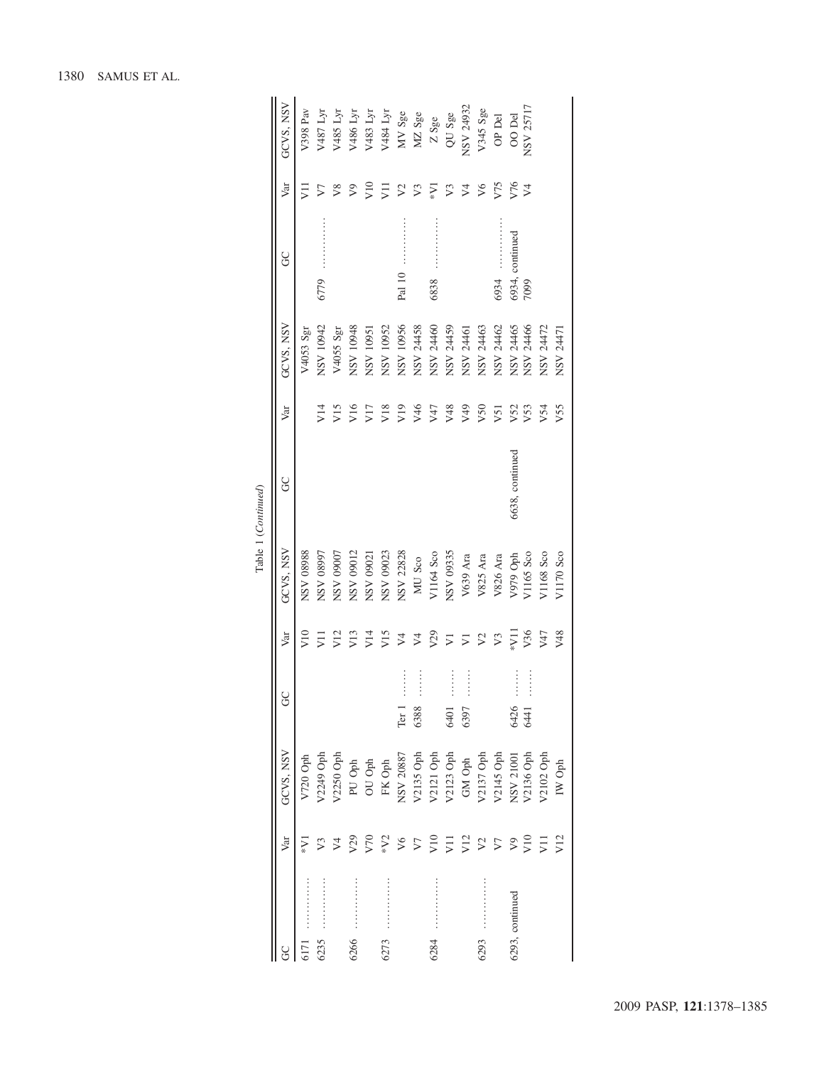|                     | GCVS, NSV | V398 Pav                  | V487 Lyr         | V485 Lyr      | V486 Lyr        | V483 Lyr        | V484 Lyr  | MV Sge                                    | MZ Sge                              | Z Sge            | QU Sge                | NSV 24932             | V345 Sge        | OP Del          | OO Del           | NSV 25717                          |                 |           |
|---------------------|-----------|---------------------------|------------------|---------------|-----------------|-----------------|-----------|-------------------------------------------|-------------------------------------|------------------|-----------------------|-----------------------|-----------------|-----------------|------------------|------------------------------------|-----------------|-----------|
|                     | Var       | JI                        | 5                | $\frac{8}{2}$ | $\Im$           | V10             | Ξ         | $\mathcal{L}$                             | V <sub>3</sub>                      | $\sum_{i=1}^{n}$ | $\mathcal{V}^3$       | $\overline{z}$        | $\sqrt{6}$      | V75             | V76              | $\triangleright$                   |                 |           |
|                     | S         |                           | 6779             |               |                 |                 |           | Pal 10                                    |                                     | 6838             |                       |                       |                 | 6934            | 6934, continued  | 7099                               |                 |           |
|                     | GCVS, NSV | $V4053$ Sgr               | NSV 10942        | V4055 Sgr     | NSV 10948       | NSV 10951       | NSV 10952 | NSV 10956                                 | NSV 24458                           | NSV 24460        | NSV 24459             | NSV 2446              | NSV 24463       | NSV 24462       | NSV 24465        | NSV 24466                          | NSV 24472       | NSV 2447  |
|                     | Var       |                           | V14              | V15           | V16             | V17             | V18       | V19                                       | V46                                 | V47              | V48                   | V49                   | V <sub>50</sub> | V <sub>51</sub> | V <sub>52</sub>  | V <sub>53</sub>                    | V <sub>54</sub> | V55       |
| Table 1 (Continued) | g         |                           |                  |               |                 |                 |           |                                           |                                     |                  |                       |                       |                 |                 | 6638, continued  |                                    |                 |           |
|                     | GCVS, NSV | <b>88680 ASN</b>          | <b>L6680 ASN</b> | NSV 09007     | NSV 09012       | NSV 09021       | NSV 09023 | NSV 22828                                 | MU Sco                              | V1164 Sco        | NSV 09335             | V639 Ara              | V825 Ara        | V826 Ara        | V979 Oph         | V1165 Sco                          | V1168 Sco       | V1170 Sco |
|                     | Var       | $\widetilde{\phantom{a}}$ | Ξ                | V12           | V13             | V14             | V15       | $\sqrt{4}$                                | $\sqrt{4}$                          | V29              | $\overline{V}$        | $\overline{z}$        | $\sqrt{2}$      | $V_3$           | $\sum_{i=1}^{n}$ | V36                                | V47             | V48       |
|                     | 9<br>C    |                           |                  |               |                 |                 |           | $\ddot{}}$ :<br>:<br>:<br>:<br>:<br>Ter 1 | $\ddot{}}$ :<br>:<br>:<br>:<br>6388 |                  | $\frac{1}{2}$<br>6401 | $\frac{1}{2}$<br>6397 |                 |                 | 6426             | $\ddot{ }$ : : : : : : : :<br>6441 |                 |           |
|                     | GCVS, NSV | V720 Oph                  | V2249 Oph        | V2250 Oph     | PU Oph          | OU Oph          | FK Oph    | NSV 20887                                 | V2135 Oph                           | V2121 Oph        | V2123 Oph             | GM Oph                | V2137 Oph       | V2145 Oph       | NSV 21001        | V2136 Oph                          | V2102 Oph       | IW Oph    |
|                     | Var       | $\sum_{i=1}^{n}$          | V3               | $\heartsuit$  | V <sub>29</sub> | V <sub>70</sub> | $*V2$     | V6                                        | $\sqrt{7}$                          | V10              | $\overline{V}$        | V12                   | $\mathcal{L}$   | $\sqrt{7}$      | $\sqrt{9}$       | V10                                | $\overline{z}$  | V12       |
|                     |           |                           | <br>6235         |               | <br>6266        |                 | <br>6273  |                                           |                                     | <br>6284         |                       |                       | 6293            |                 | 6293, continued  |                                    |                 |           |

# 1380 SAMUS ET AL.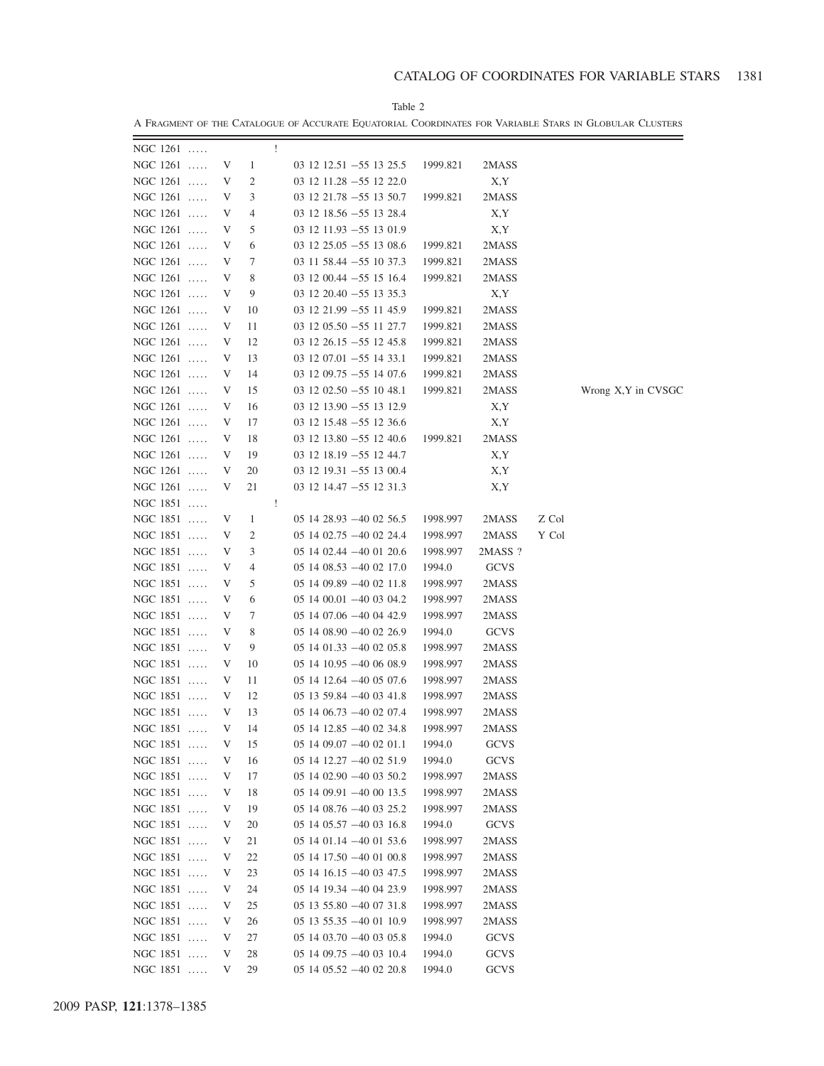A FRAGMENT OF THE CATALOGUE OF ACCURATE EQUATORIAL COORDINATES FOR VARIABLE STARS IN GLOBULAR CLUSTERS

| $NGC 1261$             |              |    | $\mathbf{1}$                                                  |          |             |       |                     |
|------------------------|--------------|----|---------------------------------------------------------------|----------|-------------|-------|---------------------|
| NGC 1261  V 1          |              |    | $03 \; 12 \; 12.51 \; -55 \; 13 \; 25.5 \; 1999.821$          |          | 2MASS       |       |                     |
| NGC $1261$             | V            |    | $\overline{2}$<br>$03$ 12 11.28 $-55$ 12 22.0                 |          | X,Y         |       |                     |
| NGC $1261$             | $\mathbf{V}$ |    | $3^{\circ}$<br>$03\;12\;21.78\; -55\;13\;50.7$                | 1999.821 | 2MASS       |       |                     |
| NGC $1261$             | $\mathbf V$  |    | $4\overline{ }$<br>$03$ 12 18.56 $-55$ 13 28.4                |          | X,Y         |       |                     |
| NGC $1261$             | V            |    | 5 <sup>5</sup><br>$03$ 12 11.93 $-55$ 13 01.9                 |          | X,Y         |       |                     |
| NGC $1261$             | V            |    | $6\overline{6}$<br>$03\;12\;25.05\; -55\;13\;08.6$            | 1999.821 | 2MASS       |       |                     |
| NGC 1261               | V            |    | 7<br>$03$ 11 58.44 $-55$ 10 37.3                              | 1999.821 | 2MASS       |       |                     |
| NGC 1261               | V            | 8  | $03\;12\;00.44\; -55\;15\;16.4$                               | 1999.821 | 2MASS       |       |                     |
| NGC $1261$             | $\mathbf{V}$ |    | 9<br>$03$ 12 20.40 $-55$ 13 35.3                              |          | X,Y         |       |                     |
| NGC 1261               | $\mathbf{V}$ | 10 | $03$ 12 21.99 $-55$ 11 45.9                                   | 1999.821 | 2MASS       |       |                     |
| NGC 1261               | $\mathbf{V}$ | 11 | $03\;12\;05.50\; -55\;11\;27.7$                               | 1999.821 | 2MASS       |       |                     |
| NGC $1261$             | $\mathbf{V}$ | 12 | $03$ 12 26.15 -55 12 45.8                                     | 1999.821 | 2MASS       |       |                     |
| NGC $1261$             | V            | 13 | $03\;12\;07.01\; -55\;14\;33.1$                               | 1999.821 | 2MASS       |       |                     |
| NGC $1261$             | V            | 14 | $031209.75 - 551407.6$                                        | 1999.821 | 2MASS       |       |                     |
| NGC $1261$             | V            | 15 | $03\;12\;02.50\;-55\;10\;48.1$                                | 1999.821 | 2MASS       |       | Wrong X, Y in CVSGC |
| NGC 1261               | V            | 16 | $03$ 12 13.90 $-55$ 13 12.9                                   |          | X,Y         |       |                     |
| NGC 1261               | $\mathbf{V}$ | 17 | $03\;12\;15.48\; -55\;12\;36.6$                               |          | X, Y        |       |                     |
| NGC 1261  V            |              |    |                                                               |          |             |       |                     |
|                        |              | 18 | $03\ 12\ 13.80 - 55\ 12\ 40.6$ 1999.821<br>19                 |          | 2MASS       |       |                     |
| NGC 1261  V            |              |    | $03$ 12 18.19 $-55$ 12 44.7<br>$03\ 12\ 19.31\ -55\ 13\ 00.4$ |          | X,Y         |       |                     |
| NGC 1261  V            |              | 20 |                                                               |          | X,Y         |       |                     |
| NGC 1261  V            |              | 21 | $03$ 12 14.47 $-55$ 12 31.3                                   |          | X,Y         |       |                     |
| NGC 1851               |              |    | $\pm$                                                         |          |             |       |                     |
| NGC 1851  V            |              |    | $1 \quad \cdots$<br>$051428.93 - 400256.5$                    | 1998.997 | 2MASS       | Z Col |                     |
| NGC 1851  V            |              |    | $\overline{2}$<br>$05$ 14 $02.75$ $-40$ 02 24.4               | 1998.997 | 2MASS       | Y Col |                     |
| NGC 1851  V            |              |    | $3 \quad \text{ }$<br>$051402.44 - 400120.6$                  | 1998.997 | 2MASS ?     |       |                     |
| NGC 1851  V            |              |    | $4\degree$<br>$051408.53 - 400217.0$                          | 1994.0   | <b>GCVS</b> |       |                     |
| NGC 1851  V            |              |    | 5 <sup>5</sup><br>$051409.89 - 400211.8$                      | 1998.997 | 2MASS       |       |                     |
| NGC 1851  V            |              |    | $6\degree$<br>$051400.01 - 400304.2$                          | 1998.997 | 2MASS       |       |                     |
| NGC 1851               | V            |    | 7<br>$051407.06 - 400442.9$                                   | 1998.997 | 2MASS       |       |                     |
| NGC 1851               | $\mathbf{V}$ |    | 8<br>$051408.90 - 400226.9$                                   | 1994.0   | <b>GCVS</b> |       |                     |
| NGC 1851               | $\mathbf{V}$ | 9  | $051401.33 - 400205.8$                                        | 1998.997 | 2MASS       |       |                     |
| NGC 1851               | V            | 10 | $051410.95 - 400608.9$                                        | 1998.997 | 2MASS       |       |                     |
| NGC 1851  V            |              |    | 11 —<br>$051412.64 - 400507.6$                                | 1998.997 | 2MASS       |       |                     |
| NGC 1851  V            |              |    | 12<br>$05$ 13 59.84 $-40$ 03 41.8                             | 1998.997 | 2MASS       |       |                     |
| NGC 1851  V            |              |    | 13<br>$05$ 14 $06.73$ $-40$ 02 07.4                           | 1998.997 | 2MASS       |       |                     |
| NGC 1851  V            |              | 14 | $051412.85 - 400234.8$                                        | 1998.997 | 2MASS       |       |                     |
| NGC 1851               | V            | 15 | 05 14 09:07 -40 02 01:1                                       | 1994.0   | GCVS        |       |                     |
| NGC 1851<br>$\ldots$ . | V            | 16 | $05$ 14 12.27 $-40$ 02 51.9                                   | 1994.0   | <b>GCVS</b> |       |                     |
| NGC 1851               | V            | 17 | $051402.90 - 400350.2$                                        | 1998.997 | 2MASS       |       |                     |
| NGC 1851               | V            | 18 | $05$ 14 09.91 $-40$ 00 13.5                                   | 1998.997 | 2MASS       |       |                     |
| NGC 1851               | V            | 19 | $051408.76 - 400325.2$                                        | 1998.997 | 2MASS       |       |                     |
| NGC 1851               | V            | 20 | $05$ 14 $05.57 - 40$ 03 16.8                                  | 1994.0   | GCVS        |       |                     |
| NGC 1851               | V            | 21 | $05$ 14 01.14 $-40$ 01 53.6                                   | 1998.997 | 2MASS       |       |                     |
| NGC 1851<br>$\dots$ .  | V            | 22 | $05$ 14 17.50 $-40$ 01 00.8                                   | 1998.997 | 2MASS       |       |                     |
| NGC 1851<br>$\dots$ .  | V            | 23 | $05$ 14 16.15 $-40$ 03 47.5                                   | 1998.997 | 2MASS       |       |                     |
| NGC 1851<br>$\dots$ .  | V            | 24 | $05$ 14 19.34 $-40$ 04 23.9                                   | 1998.997 | 2MASS       |       |                     |
| NGC 1851<br>$\dots$ .  | V            | 25 | $05$ 13 55.80 $-40$ 07 31.8                                   | 1998.997 | 2MASS       |       |                     |
| NGC 1851<br>$\dots$ .  | V            | 26 | $05$ 13 55.35 $-40$ 01 10.9                                   | 1998.997 | 2MASS       |       |                     |
| NGC 1851<br>$\dots$ .  | V            | 27 | $051403.70 - 400305.8$                                        | 1994.0   | <b>GCVS</b> |       |                     |
| NGC 1851<br>$\ldots$ . | V            | 28 | $051409.75 - 400310.4$                                        | 1994.0   | <b>GCVS</b> |       |                     |
| NGC 1851               | V            | 29 | $05$ 14 $05.52$ $-40$ 02 20.8                                 | 1994.0   | <b>GCVS</b> |       |                     |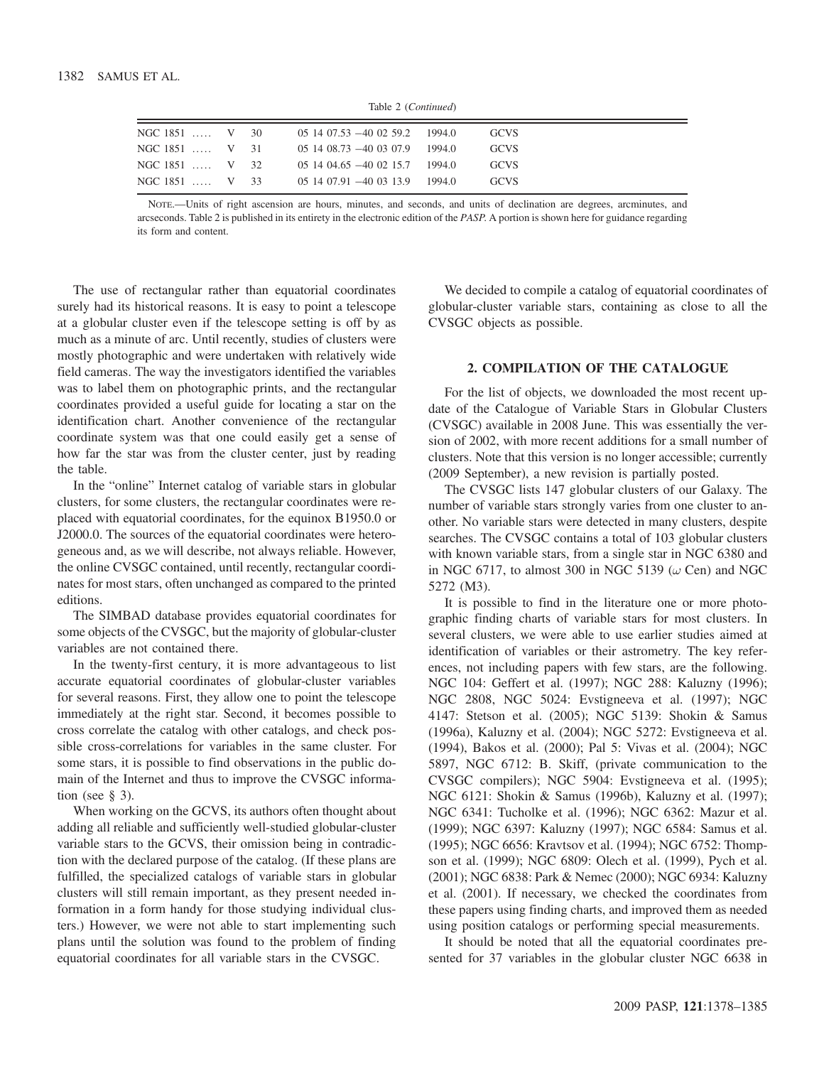Table 2 (Continued)

| NGC 1851  V 30 |  | 05 14 07.53 -40 02 59.2 1994.0 | <b>GCVS</b> |
|----------------|--|--------------------------------|-------------|
| NGC 1851  V 31 |  | $051408.73 - 400307.9$ 1994.0  | <b>GCVS</b> |
| NGC 1851  V 32 |  | $051404.65 - 400215.71994.0$   | <b>GCVS</b> |
| NGC 1851  V 33 |  | 05 14 07.91 -40 03 13.9 1994.0 | <b>GCVS</b> |
|                |  |                                |             |

NOTE.—Units of right ascension are hours, minutes, and seconds, and units of declination are degrees, arcminutes, and arcseconds. Table 2 is published in its entirety in the electronic edition of the PASP. A portion is shown here for guidance regarding its form and content.

The use of rectangular rather than equatorial coordinates surely had its historical reasons. It is easy to point a telescope at a globular cluster even if the telescope setting is off by as much as a minute of arc. Until recently, studies of clusters were mostly photographic and were undertaken with relatively wide field cameras. The way the investigators identified the variables was to label them on photographic prints, and the rectangular coordinates provided a useful guide for locating a star on the identification chart. Another convenience of the rectangular coordinate system was that one could easily get a sense of how far the star was from the cluster center, just by reading the table.

In the "online" Internet catalog of variable stars in globular clusters, for some clusters, the rectangular coordinates were replaced with equatorial coordinates, for the equinox B1950.0 or J2000.0. The sources of the equatorial coordinates were heterogeneous and, as we will describe, not always reliable. However, the online CVSGC contained, until recently, rectangular coordinates for most stars, often unchanged as compared to the printed editions.

The SIMBAD database provides equatorial coordinates for some objects of the CVSGC, but the majority of globular-cluster variables are not contained there.

In the twenty-first century, it is more advantageous to list accurate equatorial coordinates of globular-cluster variables for several reasons. First, they allow one to point the telescope immediately at the right star. Second, it becomes possible to cross correlate the catalog with other catalogs, and check possible cross-correlations for variables in the same cluster. For some stars, it is possible to find observations in the public domain of the Internet and thus to improve the CVSGC information (see  $\S$  3).

When working on the GCVS, its authors often thought about adding all reliable and sufficiently well-studied globular-cluster variable stars to the GCVS, their omission being in contradiction with the declared purpose of the catalog. (If these plans are fulfilled, the specialized catalogs of variable stars in globular clusters will still remain important, as they present needed information in a form handy for those studying individual clusters.) However, we were not able to start implementing such plans until the solution was found to the problem of finding equatorial coordinates for all variable stars in the CVSGC.

We decided to compile a catalog of equatorial coordinates of globular-cluster variable stars, containing as close to all the CVSGC objects as possible.

#### 2. COMPILATION OF THE CATALOGUE

For the list of objects, we downloaded the most recent update of the Catalogue of Variable Stars in Globular Clusters (CVSGC) available in 2008 June. This was essentially the version of 2002, with more recent additions for a small number of clusters. Note that this version is no longer accessible; currently (2009 September), a new revision is partially posted.

The CVSGC lists 147 globular clusters of our Galaxy. The number of variable stars strongly varies from one cluster to another. No variable stars were detected in many clusters, despite searches. The CVSGC contains a total of 103 globular clusters with known variable stars, from a single star in NGC 6380 and in NGC 6717, to almost 300 in NGC 5139  $(\omega \text{ Cen})$  and NGC 5272 (M3).

It is possible to find in the literature one or more photographic finding charts of variable stars for most clusters. In several clusters, we were able to use earlier studies aimed at identification of variables or their astrometry. The key references, not including papers with few stars, are the following. NGC 104: Geffert et al. (1997); NGC 288: Kaluzny (1996); NGC 2808, NGC 5024: Evstigneeva et al. (1997); NGC 4147: Stetson et al. (2005); NGC 5139: Shokin & Samus (1996a), Kaluzny et al. (2004); NGC 5272: Evstigneeva et al. (1994), Bakos et al. (2000); Pal 5: Vivas et al. (2004); NGC 5897, NGC 6712: B. Skiff, (private communication to the CVSGC compilers); NGC 5904: Evstigneeva et al. (1995); NGC 6121: Shokin & Samus (1996b), Kaluzny et al. (1997); NGC 6341: Tucholke et al. (1996); NGC 6362: Mazur et al. (1999); NGC 6397: Kaluzny (1997); NGC 6584: Samus et al. (1995); NGC 6656: Kravtsov et al. (1994); NGC 6752: Thompson et al. (1999); NGC 6809: Olech et al. (1999), Pych et al. (2001); NGC 6838: Park & Nemec (2000); NGC 6934: Kaluzny et al. (2001). If necessary, we checked the coordinates from these papers using finding charts, and improved them as needed using position catalogs or performing special measurements.

It should be noted that all the equatorial coordinates presented for 37 variables in the globular cluster NGC 6638 in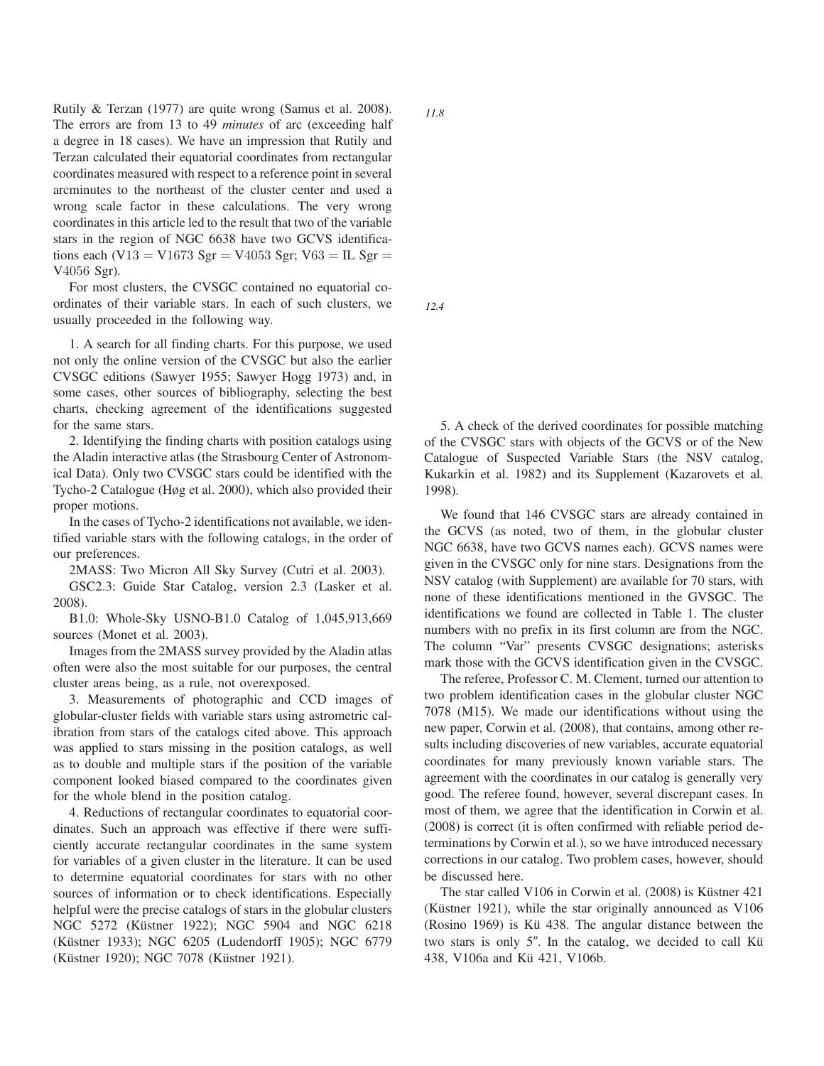Rutily & Terzan (1977) are quite wrong (Samus et al. 2008). The errors are from 13 to 49 minutes of arc (exceeding half a degree in 18 cases). We have an impression that Rutily and Terzan calculated their equatorial coordinates from rectangular coordinates measured with respect to a reference point in several arcminutes to the northeast of the cluster center and used a wrong scale factor in these calculations. The very wrong coordinates in this article led to the result that two of the variable stars in the region of NGC 6638 have two GCVS identifications each (V13 = V1673 Sgr = V4053 Sgr; V63 = IL Sgr = V4056 Sgr).

For most clusters, the CVSGC contained no equatorial coordinates of their variable stars. In each of such clusters, we usually proceeded in the following way.

1. A search for all finding charts. For this purpose, we used not only the online version of the CVSGC but also the earlier CVSGC editions (Sawyer 1955; Sawyer Hogg 1973) and, in some cases, other sources of bibliography, selecting the best charts, checking agreement of the identifications suggested for the same stars.

2. Identifying the finding charts with position catalogs using the Aladin interactive atlas (the Strasbourg Center of Astronomical Data). Only two CVSGC stars could be identified with the Tycho-2 Catalogue (Høg et al. 2000), which also provided their proper motions.

In the cases of Tycho-2 identifications not available, we identified variable stars with the following catalogs, in the order of our preferences.

2MASS: Two Micron All Sky Survey (Cutri et al. 2003).

GSC2.3: Guide Star Catalog, version 2.3 (Lasker et al. 2008).

B1.0: Whole-Sky USNO-B1.0 Catalog of 1,045,913,669 sources (Monet et al. 2003).

Images from the 2MASS survey provided by the Aladin atlas often were also the most suitable for our purposes, the central cluster areas being, as a rule, not overexposed.

3. Measurements of photographic and CCD images of globular-cluster fields with variable stars using astrometric calibration from stars of the catalogs cited above. This approach was applied to stars missing in the position catalogs, as well as to double and multiple stars if the position of the variable component looked biased compared to the coordinates given for the whole blend in the position catalog.

4. Reductions of rectangular coordinates to equatorial coordinates. Such an approach was effective if there were sufficiently accurate rectangular coordinates in the same system for variables of a given cluster in the literature. It can be used to determine equatorial coordinates for stars with no other sources of information or to check identifications. Especially helpful were the precise catalogs of stars in the globular clusters NGC 5272 (Küstner 1922); NGC 5904 and NGC 6218 (Küstner 1933); NGC 6205 (Ludendorff 1905); NGC 6779 (Küstner 1920); NGC 7078 (Küstner 1921).

*11.8*

*12.4*

5. A check of the derived coordinates for possible matching of the CVSGC stars with objects of the GCVS or of the New Catalogue of Suspected Variable Stars (the NSV catalog, Kukarkin et al. 1982) and its Supplement (Kazarovets et al. 1998).

We found that 146 CVSGC stars are already contained in the GCVS (as noted, two of them, in the globular cluster NGC 6638, have two GCVS names each). GCVS names were given in the CVSGC only for nine stars. Designations from the NSV catalog (with Supplement) are available for 70 stars, with none of these identifications mentioned in the GVSGC. The identifications we found are collected in Table 1. The cluster numbers with no prefix in its first column are from the NGC. The column "Var" presents CVSGC designations; asterisks mark those with the GCVS identification given in the CVSGC.

The referee, Professor C. M. Clement, turned our attention to two problem identification cases in the globular cluster NGC 7078 (M15). We made our identifications without using the new paper, Corwin et al. (2008), that contains, among other results including discoveries of new variables, accurate equatorial coordinates for many previously known variable stars. The agreement with the coordinates in our catalog is generally very good. The referee found, however, several discrepant cases. In most of them, we agree that the identification in Corwin et al. (2008) is correct (it is often confirmed with reliable period determinations by Corwin et al.), so we have introduced necessary corrections in our catalog. Two problem cases, however, should be discussed here.

The star called V106 in Corwin et al. (2008) is Küstner 421 (Küstner 1921), while the star originally announced as V106 (Rosino 1969) is Kü 438. The angular distance between the two stars is only 5″. In the catalog, we decided to call Kü 438, V106a and Kü 421, V106b.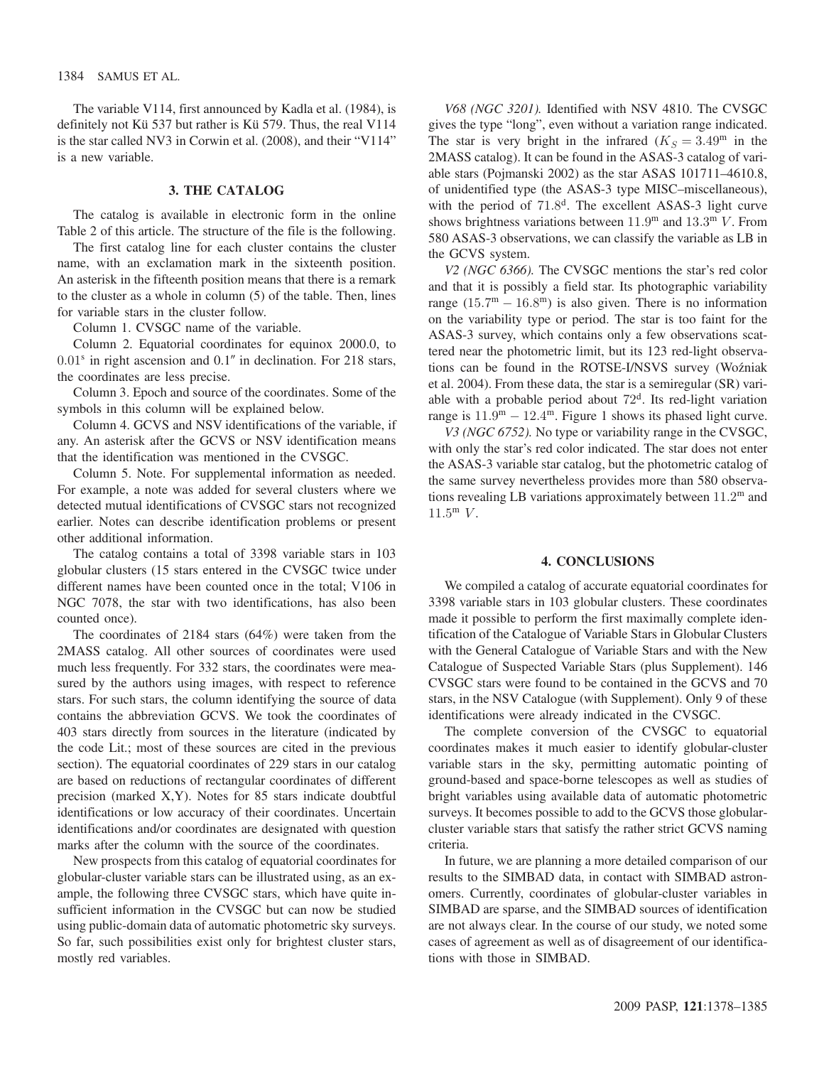The variable V114, first announced by Kadla et al. (1984), is definitely not Kü 537 but rather is Kü 579. Thus, the real V114 is the star called NV3 in Corwin et al. (2008), and their "V114" is a new variable.

### 3. THE CATALOG

The catalog is available in electronic form in the online Table 2 of this article. The structure of the file is the following.

The first catalog line for each cluster contains the cluster name, with an exclamation mark in the sixteenth position. An asterisk in the fifteenth position means that there is a remark to the cluster as a whole in column (5) of the table. Then, lines for variable stars in the cluster follow.

Column 1. CVSGC name of the variable.

Column 2. Equatorial coordinates for equinox 2000.0, to  $0.01<sup>s</sup>$  in right ascension and  $0.1''$  in declination. For 218 stars, the coordinates are less precise.

Column 3. Epoch and source of the coordinates. Some of the symbols in this column will be explained below.

Column 4. GCVS and NSV identifications of the variable, if any. An asterisk after the GCVS or NSV identification means that the identification was mentioned in the CVSGC.

Column 5. Note. For supplemental information as needed. For example, a note was added for several clusters where we detected mutual identifications of CVSGC stars not recognized earlier. Notes can describe identification problems or present other additional information.

The catalog contains a total of 3398 variable stars in 103 globular clusters (15 stars entered in the CVSGC twice under different names have been counted once in the total; V106 in NGC 7078, the star with two identifications, has also been counted once).

The coordinates of 2184 stars (64%) were taken from the 2MASS catalog. All other sources of coordinates were used much less frequently. For 332 stars, the coordinates were measured by the authors using images, with respect to reference stars. For such stars, the column identifying the source of data contains the abbreviation GCVS. We took the coordinates of 403 stars directly from sources in the literature (indicated by the code Lit.; most of these sources are cited in the previous section). The equatorial coordinates of 229 stars in our catalog are based on reductions of rectangular coordinates of different precision (marked X,Y). Notes for 85 stars indicate doubtful identifications or low accuracy of their coordinates. Uncertain identifications and/or coordinates are designated with question marks after the column with the source of the coordinates.

New prospects from this catalog of equatorial coordinates for globular-cluster variable stars can be illustrated using, as an example, the following three CVSGC stars, which have quite insufficient information in the CVSGC but can now be studied using public-domain data of automatic photometric sky surveys. So far, such possibilities exist only for brightest cluster stars, mostly red variables.

V68 (NGC 3201). Identified with NSV 4810. The CVSGC gives the type "long", even without a variation range indicated. The star is very bright in the infrared  $(K<sub>S</sub> = 3.49<sup>m</sup>$  in the 2MASS catalog). It can be found in the ASAS-3 catalog of variable stars (Pojmanski 2002) as the star ASAS 101711–4610.8, of unidentified type (the ASAS-3 type MISC–miscellaneous), with the period of 71.8<sup>d</sup>. The excellent ASAS-3 light curve shows brightness variations between  $11.9^{\text{m}}$  and  $13.3^{\text{m}}$  V. From 580 ASAS-3 observations, we can classify the variable as LB in the GCVS system.

V2 (NGC 6366). The CVSGC mentions the star's red color and that it is possibly a field star. Its photographic variability range  $(15.7<sup>m</sup> - 16.8<sup>m</sup>)$  is also given. There is no information on the variability type or period. The star is too faint for the ASAS-3 survey, which contains only a few observations scattered near the photometric limit, but its 123 red-light observations can be found in the ROTSE-I/NSVS survey (Woźniak et al. 2004). From these data, the star is a semiregular (SR) variable with a probable period about  $72<sup>d</sup>$ . Its red-light variation range is  $11.9^{\text{m}} - 12.4^{\text{m}}$ . Figure 1 shows its phased light curve.

V3 (NGC 6752). No type or variability range in the CVSGC, with only the star's red color indicated. The star does not enter the ASAS-3 variable star catalog, but the photometric catalog of the same survey nevertheless provides more than 580 observations revealing LB variations approximately between 11:2<sup>m</sup> and  $11.5^{\rm m}$  V.

#### 4. CONCLUSIONS

We compiled a catalog of accurate equatorial coordinates for 3398 variable stars in 103 globular clusters. These coordinates made it possible to perform the first maximally complete identification of the Catalogue of Variable Stars in Globular Clusters with the General Catalogue of Variable Stars and with the New Catalogue of Suspected Variable Stars (plus Supplement). 146 CVSGC stars were found to be contained in the GCVS and 70 stars, in the NSV Catalogue (with Supplement). Only 9 of these identifications were already indicated in the CVSGC.

The complete conversion of the CVSGC to equatorial coordinates makes it much easier to identify globular-cluster variable stars in the sky, permitting automatic pointing of ground-based and space-borne telescopes as well as studies of bright variables using available data of automatic photometric surveys. It becomes possible to add to the GCVS those globularcluster variable stars that satisfy the rather strict GCVS naming criteria.

In future, we are planning a more detailed comparison of our results to the SIMBAD data, in contact with SIMBAD astronomers. Currently, coordinates of globular-cluster variables in SIMBAD are sparse, and the SIMBAD sources of identification are not always clear. In the course of our study, we noted some cases of agreement as well as of disagreement of our identifications with those in SIMBAD.